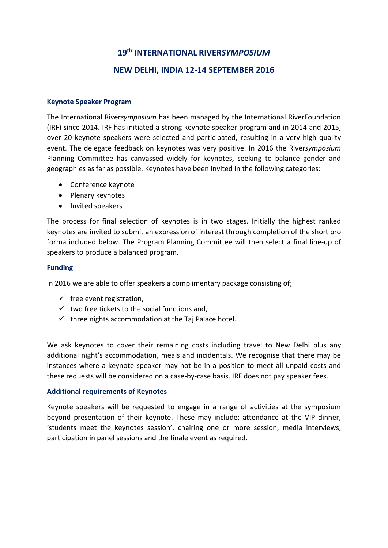# **19th INTERNATIONAL RIVER***SYMPOSIUM* **NEW DELHI, INDIA 12-14 SEPTEMBER 2016**

#### **Keynote Speaker Program**

The International River*symposium* has been managed by the International RiverFoundation (IRF) since 2014. IRF has initiated a strong keynote speaker program and in 2014 and 2015, over 20 keynote speakers were selected and participated, resulting in a very high quality event. The delegate feedback on keynotes was very positive. In 2016 the River*symposium* Planning Committee has canvassed widely for keynotes, seeking to balance gender and geographies as far as possible. Keynotes have been invited in the following categories:

- Conference keynote
- Plenary keynotes
- Invited speakers

The process for final selection of keynotes is in two stages. Initially the highest ranked keynotes are invited to submit an expression of interest through completion of the short pro forma included below. The Program Planning Committee will then select a final line-up of speakers to produce a balanced program.

## **Funding**

In 2016 we are able to offer speakers a complimentary package consisting of;

- $\checkmark$  free event registration,
- $\checkmark$  two free tickets to the social functions and,
- $\checkmark$  three nights accommodation at the Taj Palace hotel.

We ask keynotes to cover their remaining costs including travel to New Delhi plus any additional night's accommodation, meals and incidentals. We recognise that there may be instances where a keynote speaker may not be in a position to meet all unpaid costs and these requests will be considered on a case-by-case basis. IRF does not pay speaker fees.

## **Additional requirements of Keynotes**

Keynote speakers will be requested to engage in a range of activities at the symposium beyond presentation of their keynote. These may include: attendance at the VIP dinner, 'students meet the keynotes session', chairing one or more session, media interviews, participation in panel sessions and the finale event as required.